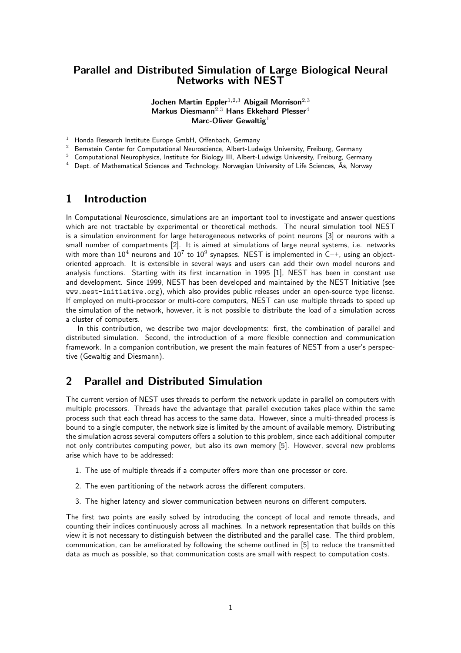### Parallel and Distributed Simulation of Large Biological Neural Networks with NEST

#### Jochen Martin Eppler<sup>1,2,3</sup> Abigail Morrison<sup>2,3</sup> Markus Diesmann<sup>2,3</sup> Hans Ekkehard Plesser<sup>4</sup> Marc-Oliver Gewaltig $1$

- <sup>1</sup> Honda Research Institute Europe GmbH, Offenbach, Germany
- <sup>2</sup> Bernstein Center for Computational Neuroscience, Albert-Ludwigs University, Freiburg, Germany
- <sup>3</sup> Computational Neurophysics, Institute for Biology III, Albert-Ludwigs University, Freiburg, Germany
- $4$  Dept. of Mathematical Sciences and Technology, Norwegian University of Life Sciences, Ås, Norway

### 1 Introduction

In Computational Neuroscience, simulations are an important tool to investigate and answer questions which are not tractable by experimental or theoretical methods. The neural simulation tool NEST is a simulation environment for large heterogeneous networks of point neurons [3] or neurons with a small number of compartments [2]. It is aimed at simulations of large neural systems, i.e. networks with more than  $10^4$  neurons and  $10^7$  to  $10^9$  synapses. NEST is implemented in C++, using an objectoriented approach. It is extensible in several ways and users can add their own model neurons and analysis functions. Starting with its first incarnation in 1995 [1], NEST has been in constant use and development. Since 1999, NEST has been developed and maintained by the NEST Initiative (see www.nest-initiative.org), which also provides public releases under an open-source type license. If employed on multi-processor or multi-core computers, NEST can use multiple threads to speed up the simulation of the network, however, it is not possible to distribute the load of a simulation across a cluster of computers.

In this contribution, we describe two major developments: first, the combination of parallel and distributed simulation. Second, the introduction of a more flexible connection and communication framework. In a companion contribution, we present the main features of NEST from a user's perspective (Gewaltig and Diesmann).

## 2 Parallel and Distributed Simulation

The current version of NEST uses threads to perform the network update in parallel on computers with multiple processors. Threads have the advantage that parallel execution takes place within the same process such that each thread has access to the same data. However, since a multi-threaded process is bound to a single computer, the network size is limited by the amount of available memory. Distributing the simulation across several computers offers a solution to this problem, since each additional computer not only contributes computing power, but also its own memory [5]. However, several new problems arise which have to be addressed:

- 1. The use of multiple threads if a computer offers more than one processor or core.
- 2. The even partitioning of the network across the different computers.
- 3. The higher latency and slower communication between neurons on different computers.

The first two points are easily solved by introducing the concept of local and remote threads, and counting their indices continuously across all machines. In a network representation that builds on this view it is not necessary to distinguish between the distributed and the parallel case. The third problem, communication, can be ameliorated by following the scheme outlined in [5] to reduce the transmitted data as much as possible, so that communication costs are small with respect to computation costs.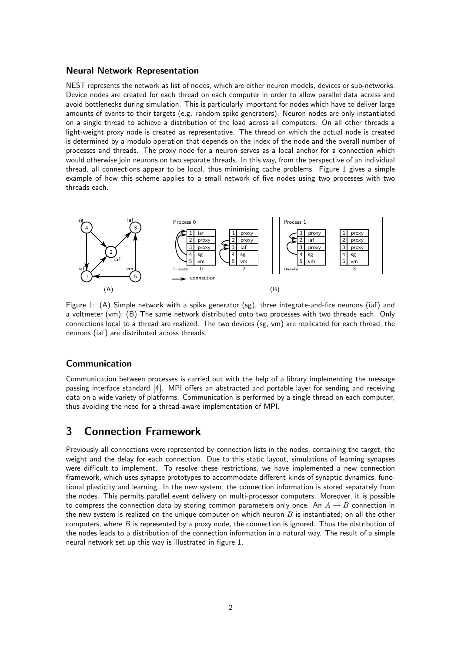#### Neural Network Representation

NEST represents the network as list of nodes, which are either neuron models, devices or sub-networks. Device nodes are created for each thread on each computer in order to allow parallel data access and avoid bottlenecks during simulation. This is particularly important for nodes which have to deliver large amounts of events to their targets (e.g. random spike generators). Neuron nodes are only instantiated on a single thread to achieve a distribution of the load across all computers. On all other threads a light-weight proxy node is created as representative. The thread on which the actual node is created is determined by a modulo operation that depends on the index of the node and the overall number of PSfrag replacements<br>PSFrag replacements and threads. The proxy node for a neuron serves as a local anchor for a connection which would otherwise join neurons on two separate threads. In this way, from the perspective of an individual 0 thread, all connections appear to be local, thus minimising cache problems. Figure 1 gives a simple example of how this scheme applies to a small network of five nodes using two processes with two threads each.



Figure 1: (A) Simple network with a spike generator (sg), three integrate-and-fire neurons (iaf) and a voltmeter (vm); (B) The same network distributed onto two processes with two threads each. Only connections local to a thread are realized. The two devices (sg, vm) are replicated for each thread, the neurons (iaf) are distributed across threads.

#### Communication

Communication between processes is carried out with the help of a library implementing the message passing interface standard [4]. MPI offers an abstracted and portable layer for sending and receiving data on a wide variety of platforms. Communication is performed by a single thread on each computer, thus avoiding the need for a thread-aware implementation of MPI.

## 3 Connection Framework

Previously all connections were represented by connection lists in the nodes, containing the target, the weight and the delay for each connection. Due to this static layout, simulations of learning synapses were difficult to implement. To resolve these restrictions, we have implemented a new connection framework, which uses synapse prototypes to accommodate different kinds of synaptic dynamics, functional plasticity and learning. In the new system, the connection information is stored separately from the nodes. This permits parallel event delivery on multi-processor computers. Moreover, it is possible to compress the connection data by storing common parameters only once. An  $A \rightarrow B$  connection in the new system is realized on the unique computer on which neuron  $B$  is instantiated; on all the other computers, where  $B$  is represented by a proxy node, the connection is ignored. Thus the distribution of the nodes leads to a distribution of the connection information in a natural way. The result of a simple neural network set up this way is illustrated in figure 1.